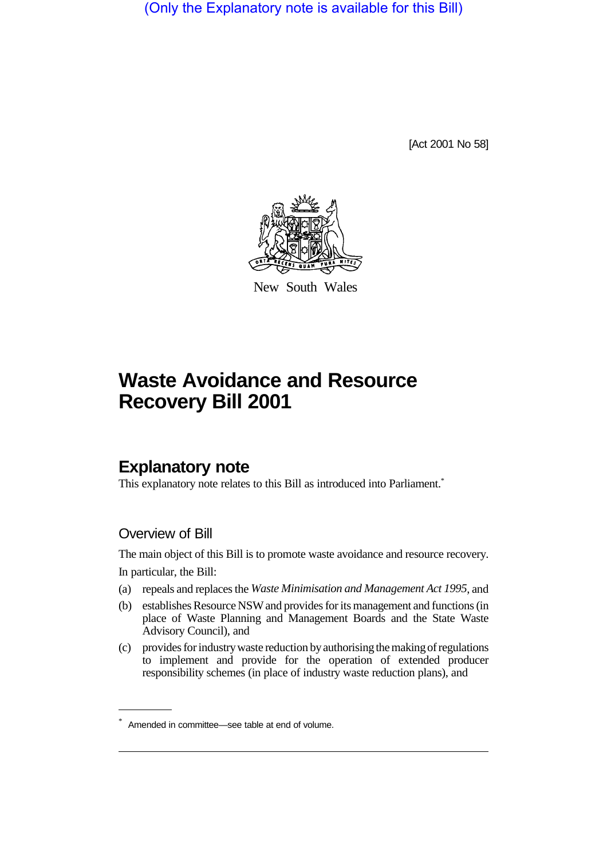(Only the Explanatory note is available for this Bill)

[Act 2001 No 58]



New South Wales

# **Waste Avoidance and Resource Recovery Bill 2001**

# **Explanatory note**

This explanatory note relates to this Bill as introduced into Parliament.<sup>\*</sup>

## Overview of Bill

The main object of this Bill is to promote waste avoidance and resource recovery. In particular, the Bill:

- (a) repeals and replaces the *Waste Minimisation and Management Act 1995*, and
- (b) establishes Resource NSW and provides for its management and functions (in place of Waste Planning and Management Boards and the State Waste Advisory Council), and
- (c) provides for industry waste reduction by authorising the making of regulations to implement and provide for the operation of extended producer responsibility schemes (in place of industry waste reduction plans), and

<sup>\*</sup> Amended in committee—see table at end of volume.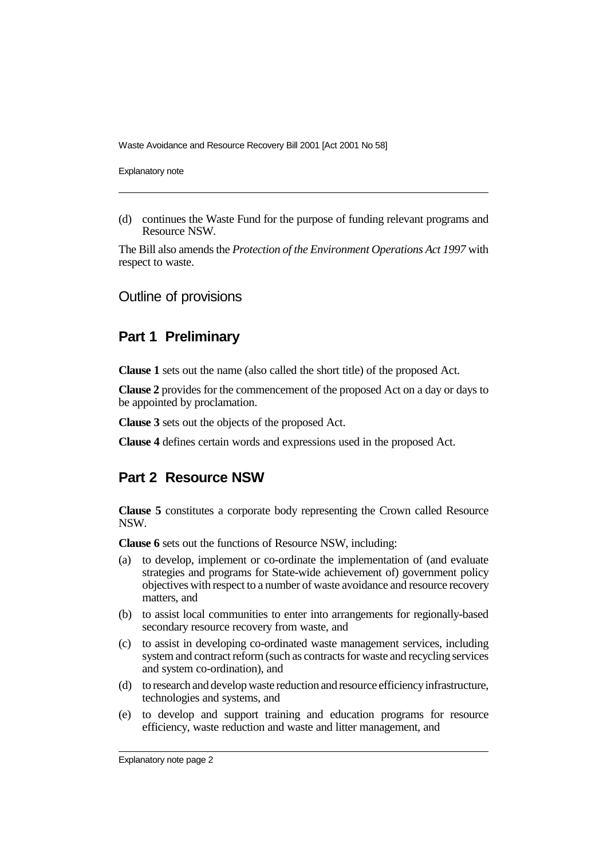Explanatory note

(d) continues the Waste Fund for the purpose of funding relevant programs and Resource NSW.

The Bill also amends the *Protection of the Environment Operations Act 1997* with respect to waste.

#### Outline of provisions

#### **Part 1 Preliminary**

**Clause 1** sets out the name (also called the short title) of the proposed Act.

**Clause 2** provides for the commencement of the proposed Act on a day or days to be appointed by proclamation.

**Clause 3** sets out the objects of the proposed Act.

**Clause 4** defines certain words and expressions used in the proposed Act.

## **Part 2 Resource NSW**

**Clause 5** constitutes a corporate body representing the Crown called Resource NSW.

**Clause 6** sets out the functions of Resource NSW, including:

- (a) to develop, implement or co-ordinate the implementation of (and evaluate strategies and programs for State-wide achievement of) government policy objectives with respect to a number of waste avoidance and resource recovery matters, and
- (b) to assist local communities to enter into arrangements for regionally-based secondary resource recovery from waste, and
- (c) to assist in developing co-ordinated waste management services, including system and contract reform (such as contracts for waste and recycling services and system co-ordination), and
- (d) to research and develop waste reduction and resource efficiency infrastructure, technologies and systems, and
- (e) to develop and support training and education programs for resource efficiency, waste reduction and waste and litter management, and

Explanatory note page 2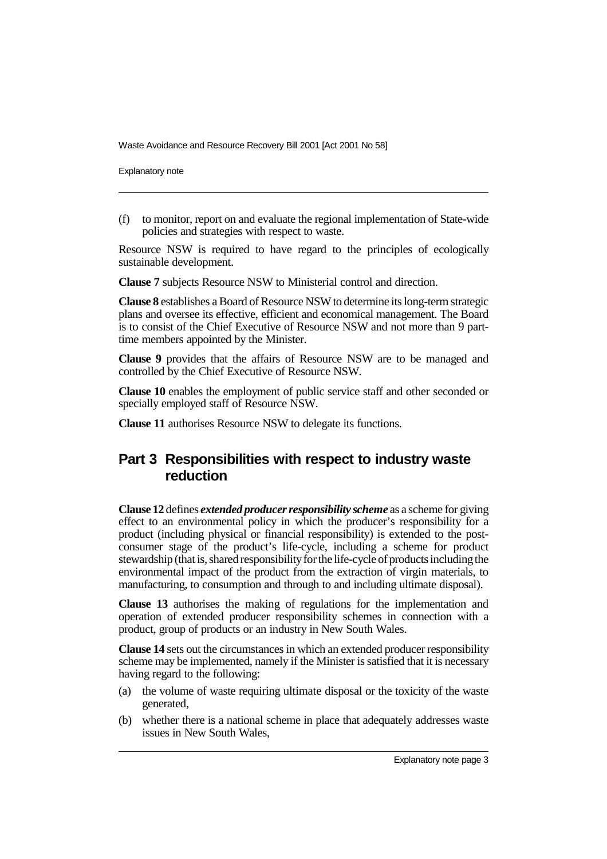Explanatory note

(f) to monitor, report on and evaluate the regional implementation of State-wide policies and strategies with respect to waste.

Resource NSW is required to have regard to the principles of ecologically sustainable development.

**Clause 7** subjects Resource NSW to Ministerial control and direction.

**Clause 8** establishes a Board of Resource NSW to determine its long-term strategic plans and oversee its effective, efficient and economical management. The Board is to consist of the Chief Executive of Resource NSW and not more than 9 parttime members appointed by the Minister.

**Clause 9** provides that the affairs of Resource NSW are to be managed and controlled by the Chief Executive of Resource NSW.

**Clause 10** enables the employment of public service staff and other seconded or specially employed staff of Resource NSW.

**Clause 11** authorises Resource NSW to delegate its functions.

# **Part 3 Responsibilities with respect to industry waste reduction**

**Clause 12** defines *extended producer responsibility scheme* as a scheme for giving effect to an environmental policy in which the producer's responsibility for a product (including physical or financial responsibility) is extended to the postconsumer stage of the product's life-cycle, including a scheme for product stewardship (that is, shared responsibility for the life-cycle of products including the environmental impact of the product from the extraction of virgin materials, to manufacturing, to consumption and through to and including ultimate disposal).

**Clause 13** authorises the making of regulations for the implementation and operation of extended producer responsibility schemes in connection with a product, group of products or an industry in New South Wales.

**Clause 14** sets out the circumstances in which an extended producer responsibility scheme may be implemented, namely if the Minister is satisfied that it is necessary having regard to the following:

- (a) the volume of waste requiring ultimate disposal or the toxicity of the waste generated,
- (b) whether there is a national scheme in place that adequately addresses waste issues in New South Wales,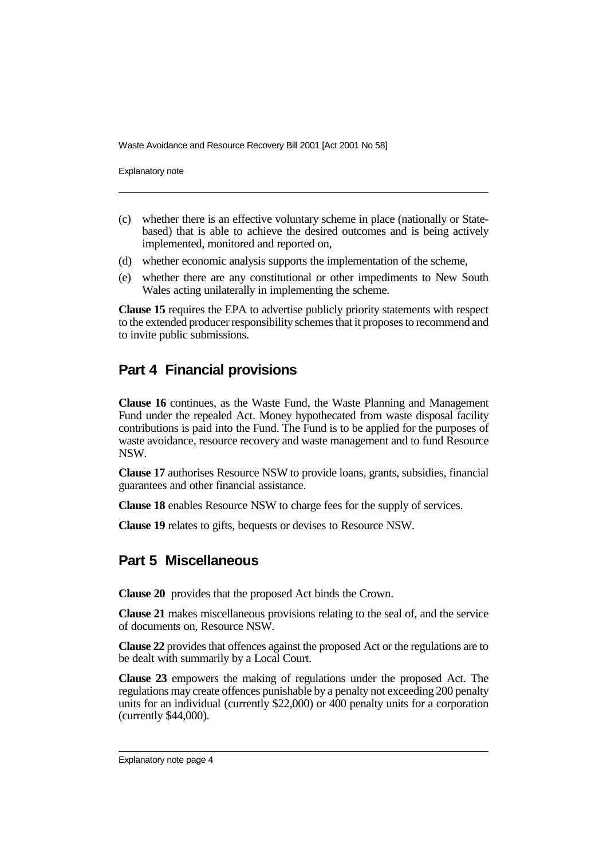Explanatory note

- (c) whether there is an effective voluntary scheme in place (nationally or Statebased) that is able to achieve the desired outcomes and is being actively implemented, monitored and reported on,
- (d) whether economic analysis supports the implementation of the scheme,
- (e) whether there are any constitutional or other impediments to New South Wales acting unilaterally in implementing the scheme.

**Clause 15** requires the EPA to advertise publicly priority statements with respect to the extended producer responsibility schemes that it proposes to recommend and to invite public submissions.

## **Part 4 Financial provisions**

**Clause 16** continues, as the Waste Fund, the Waste Planning and Management Fund under the repealed Act. Money hypothecated from waste disposal facility contributions is paid into the Fund. The Fund is to be applied for the purposes of waste avoidance, resource recovery and waste management and to fund Resource NSW.

**Clause 17** authorises Resource NSW to provide loans, grants, subsidies, financial guarantees and other financial assistance.

**Clause 18** enables Resource NSW to charge fees for the supply of services.

**Clause 19** relates to gifts, bequests or devises to Resource NSW.

## **Part 5 Miscellaneous**

**Clause 20** provides that the proposed Act binds the Crown.

**Clause 21** makes miscellaneous provisions relating to the seal of, and the service of documents on, Resource NSW.

**Clause 22** provides that offences against the proposed Act or the regulations are to be dealt with summarily by a Local Court.

**Clause 23** empowers the making of regulations under the proposed Act. The regulations may create offences punishable by a penalty not exceeding 200 penalty units for an individual (currently \$22,000) or 400 penalty units for a corporation (currently \$44,000).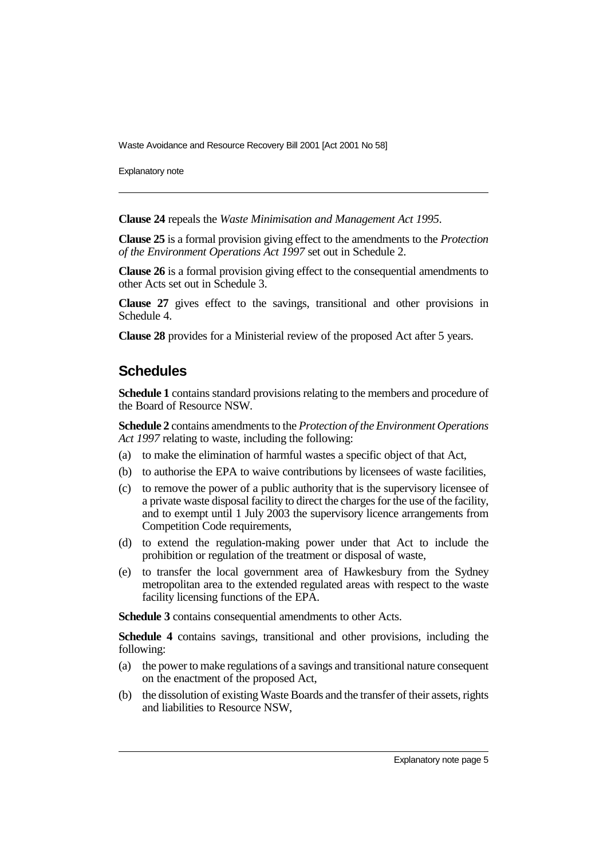Explanatory note

**Clause 24** repeals the *Waste Minimisation and Management Act 1995*.

**Clause 25** is a formal provision giving effect to the amendments to the *Protection of the Environment Operations Act 1997* set out in Schedule 2.

**Clause 26** is a formal provision giving effect to the consequential amendments to other Acts set out in Schedule 3.

**Clause 27** gives effect to the savings, transitional and other provisions in Schedule 4.

**Clause 28** provides for a Ministerial review of the proposed Act after 5 years.

#### **Schedules**

**Schedule 1** contains standard provisions relating to the members and procedure of the Board of Resource NSW.

**Schedule 2** contains amendments to the *Protection of the Environment Operations Act 1997* relating to waste, including the following:

- (a) to make the elimination of harmful wastes a specific object of that Act,
- (b) to authorise the EPA to waive contributions by licensees of waste facilities,
- (c) to remove the power of a public authority that is the supervisory licensee of a private waste disposal facility to direct the charges for the use of the facility, and to exempt until 1 July 2003 the supervisory licence arrangements from Competition Code requirements,
- (d) to extend the regulation-making power under that Act to include the prohibition or regulation of the treatment or disposal of waste,
- (e) to transfer the local government area of Hawkesbury from the Sydney metropolitan area to the extended regulated areas with respect to the waste facility licensing functions of the EPA.

**Schedule 3** contains consequential amendments to other Acts.

**Schedule 4** contains savings, transitional and other provisions, including the following:

- (a) the power to make regulations of a savings and transitional nature consequent on the enactment of the proposed Act,
- (b) the dissolution of existing Waste Boards and the transfer of their assets, rights and liabilities to Resource NSW,